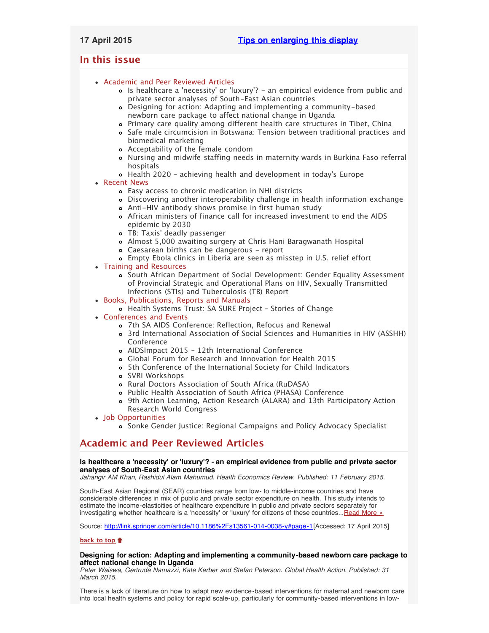# <span id="page-0-3"></span>**In this issue**

- [Academic and Peer Reviewed Articles](#page-0-0)
	- Is healthcare a ['necessity' or 'luxury'? an empirical evidence from public and](#page-0-1) [private sector analyses of South-East Asian countries](#page-0-1)
	- [Designing for action: Adapting and implementing a community-based](#page-0-2) [newborn care package to affect national change in Uganda](#page-0-2)
	- [Primary care quality among different health care structures in Tibet, China](#page-1-0)
	- o [Safe male circumcision in Botswana: Tension between traditional practices and](#page-1-1) [biomedical marketing](#page-1-1)
	- [Acceptability of the female condom](#page-1-2)
	- [Nursing and midwife staffing needs in maternity wards in Burkina Faso referral](#page-1-3) [hospitals](#page-1-3)
	- [Health 2020 achieving health and development in today](#page-1-4)'s Europe
- [Recent News](#page-1-5)
	- [Easy access to chronic medication in NHI districts](#page-1-6)
	- [Discovering another interoperability challenge in health information exchange](#page-2-0)
	- [Anti-HIV antibody shows promise in first human study](#page-2-1)
	- [African ministers of finance call for increased investment to end the AIDS](#page-2-2) [epidemic by 2030](#page-2-2)
	- TB: Taxis[' deadly passenger](#page-2-3)
	- [Almost 5,000 awaiting surgery at Chris Hani Baragwanath Hospital](#page-2-4)
	- [Caesarean births can be dangerous report](#page-2-5)
	- [Empty Ebola clinics in Liberia are seen as misstep in U.S. relief effort](#page-2-6)
- [Training and Resources](#page-2-7)
	- o [South African Department of Social Development: Gender Equality Assessment](#page-3-0) [of Provincial Strategic and Operational Plans on HIV, Sexually Transmitted](#page-3-0) [Infections \(STIs\) and Tuberculosis \(TB\) Report](#page-3-0)
- [Books, Publications, Reports and Manuals](#page-3-1)
	- [Health Systems Trust: SA SURE Project Stories of Change](#page-3-2)
- [Conferences and Events](#page-3-3)
	- [7th SA AIDS Conference: Reflection, Refocus and Renewal](#page-3-4)
	- [3rd International Association of Social Sciences and Humanities in HIV \(ASSHH\)](#page-3-5) [Conference](#page-3-5)
	- [AIDSImpact 2015 12th International Conference](#page-3-6)
	- [Global Forum for Research and Innovation for Health 2015](#page-3-7)
	- [5th Conference of the International Society for Child Indicators](#page-4-0)
	- [SVRI Workshops](#page-4-1)
	- [Rural Doctors Association of South Africa \(RuDASA\)](#page-4-2)
	- [Public Health Association of South Africa \(PHASA\) Conference](#page-4-3)
	- [9th Action Learning, Action Research \(ALARA\) and 13th Participatory Action](#page-4-4) [Research World Congress](#page-4-4)
- [Job Opportunities](#page-4-5)
	- [Sonke Gender Justice: Regional Campaigns and Policy Advocacy Specialist](#page-4-6)

# <span id="page-0-0"></span>**Academic and Peer Reviewed Articles**

### <span id="page-0-1"></span>**Is healthcare a 'necessity' or 'luxury'? - an empirical evidence from public and private sector analyses of South-East Asian countries**

*Jahangir AM Khan, Rashidul Alam Mahumud. Health Economics Review. Published: 11 February 2015.*

South-East Asian Regional (SEAR) countries range from low- to middle-income countries and have considerable differences in mix of public and private sector expenditure on health. This study intends to estimate the income-elasticities of healthcare expenditure in public and private sectors separately for investigating whether healthcare is a 'necessity' or 'luxury' for citizens of these countries... [Read More »](http://link.springer.com/article/10.1186%2Fs13561-014-0038-y#page-1)

Source: [http://link.springer.com/article/10.1186%2Fs13561-014-0038-y#page-1\[](http://link.springer.com/article/10.1186%2Fs13561-014-0038-y#page-1)Accessed: 17 April 2015]

### **[back to top](#page-0-3)**

### <span id="page-0-2"></span>**Designing for action: Adapting and implementing a community-based newborn care package to affect national change in Uganda**

*Peter Waiswa, Gertrude Namazzi, Kate Kerber and Stefan Peterson. Global Health Action. Published: 31 March 2015.*

There is a lack of literature on how to adapt new evidence-based interventions for maternal and newborn care into local health systems and policy for rapid scale-up, particularly for community-based interventions in low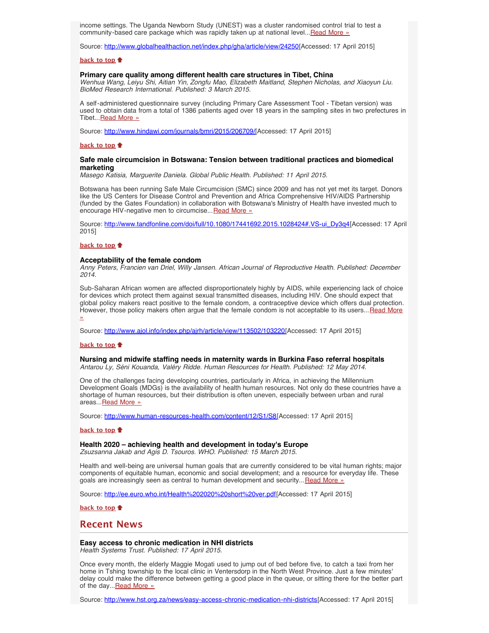income settings. The Uganda Newborn Study (UNEST) was a cluster randomised control trial to test a community-based care package which was rapidly taken up at national level... [Read More »](http://www.globalhealthaction.net/index.php/gha/article/view/24250)

Source: [http://www.globalhealthaction.net/index.php/gha/article/view/24250\[](http://www.globalhealthaction.net/index.php/gha/article/view/24250)Accessed: 17 April 2015]

### **[back to top](#page-0-3)**

### <span id="page-1-0"></span>**Primary care quality among different health care structures in Tibet, China**

*Wenhua Wang, Leiyu Shi, Aitian Yin, Zongfu Mao, Elizabeth Maitland, Stephen Nicholas, and Xiaoyun Liu. BioMed Research International. Published: 3 March 2015.*

A self-administered questionnaire survey (including Primary Care Assessment Tool - Tibetan version) was used to obtain data from a total of 1386 patients aged over 18 years in the sampling sites in two prefectures in Tibet... [Read More »](http://www.hindawi.com/journals/bmri/2015/206709/)

Source: [http://www.hindawi.com/journals/bmri/2015/206709/\[](http://www.hindawi.com/journals/bmri/2015/206709/)Accessed: 17 April 2015]

### **[back to top](#page-0-3)**

### <span id="page-1-1"></span>**Safe male circumcision in Botswana: Tension between traditional practices and biomedical marketing**

*Masego Katisia, Marguerite Daniela. Global Public Health. Published: 11 April 2015.*

Botswana has been running Safe Male Circumcision (SMC) since 2009 and has not yet met its target. Donors like the US Centers for Disease Control and Prevention and Africa Comprehensive HIV/AIDS Partnership (funded by the Gates Foundation) in collaboration with Botswana's Ministry of Health have invested much to encourage HIV-negative men to circumcise... [Read More »](http://www.tandfonline.com/doi/full/10.1080/17441692.2015.1028424#.VS-ui_Dy3q4)

Source: [http://www.tandfonline.com/doi/full/10.1080/17441692.2015.1028424#.VS-ui\\_Dy3q4\[](http://www.tandfonline.com/doi/full/10.1080/17441692.2015.1028424#.VS-ui_Dy3q4)Accessed: 17 April 2015]

### **[back to top](#page-0-3)**

### <span id="page-1-2"></span>**Acceptability of the female condom**

*Anny Peters, Francien van Driel, Willy Jansen. African Journal of Reproductive Health. Published: December 2014.*

Sub-Saharan African women are affected disproportionately highly by AIDS, while experiencing lack of choice for devices which protect them against sexual transmitted diseases, including HIV. One should expect that global policy makers react positive to the female condom, a contraceptive device which offers dual protection. However, those policy makers often argue that the female condom is not acceptable to its users... [Read More](http://www.ajol.info/index.php/ajrh/article/view/113502/103220) [»](http://www.ajol.info/index.php/ajrh/article/view/113502/103220)

Source: [http://www.ajol.info/index.php/ajrh/article/view/113502/103220\[](http://www.ajol.info/index.php/ajrh/article/view/113502/103220)Accessed: 17 April 2015]

#### **[back to top](#page-0-3)**

### <span id="page-1-3"></span>**Nursing and midwife staffing needs in maternity wards in Burkina Faso referral hospitals**

*Antarou Ly, Séni Kouanda, Valéry Ridde. Human Resources for Health. Published: 12 May 2014.*

One of the challenges facing developing countries, particularly in Africa, in achieving the Millennium Development Goals (MDGs) is the availability of health human resources. Not only do these countries have a shortage of human resources, but their distribution is often uneven, especially between urban and rural areas...[Read More »](http://www.human-resources-health.com/content/12/S1/S8)

Source: [http://www.human-resources-health.com/content/12/S1/S8\[](http://www.human-resources-health.com/content/12/S1/S8)Accessed: 17 April 2015]

#### **[back to top](#page-0-3)**

### <span id="page-1-4"></span>**Health 2020 – achieving health and development in today's Europe**

*Zsuzsanna Jakab and Agis D. Tsouros. WHO. Published: 15 March 2015.*

Health and well-being are universal human goals that are currently considered to be vital human rights; major components of equitable human, economic and social development; and a resource for everyday life. These goals are increasingly seen as central to human development and security... [Read More »](http://ee.euro.who.int/Health%202020%20short%20ver.pdf)

Source: <http://ee.euro.who.int/Health%202020%20short%20ver.pdf> [Accessed: 17 April 2015]

**[back to top](#page-0-3)**

## <span id="page-1-5"></span>**Recent News**

# **Easy access to chronic medication in NHI districts**

<span id="page-1-6"></span>*Health Systems Trust. Published: 17 April 2015.*

Once every month, the elderly Maggie Mogati used to jump out of bed before five, to catch a taxi from her home in Tshing township to the local clinic in Ventersdorp in the North West Province. Just a few minutes' delay could make the difference between getting a good place in the queue, or sitting there for the better part of the day... Read More »

Source: [http://www.hst.org.za/news/easy-access-chronic-medication-nhi-districts\[](http://www.hst.org.za/news/easy-access-chronic-medication-nhi-districts)Accessed: 17 April 2015]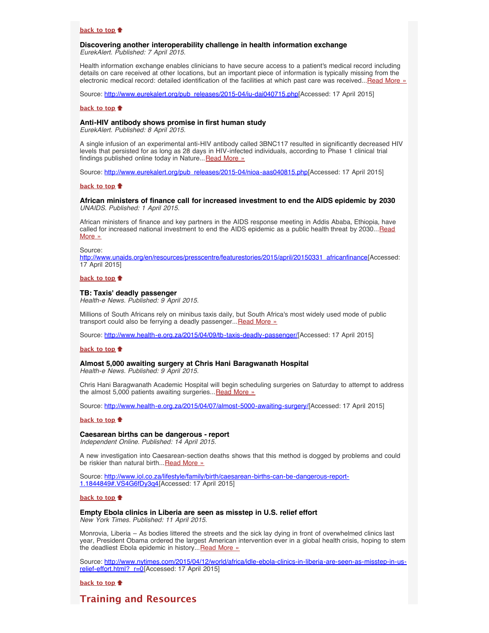### **[back to top](#page-0-3)**

### <span id="page-2-0"></span>**Discovering another interoperability challenge in health information exchange** *EurekAlert. Published: 7 April 2015.*

Health information exchange enables clinicians to have secure access to a patient's medical record including details on care received at other locations, but an important piece of information is typically missing from the electronic medical record: detailed identification of the facilities at which past care was received...[Read More »](http://www.eurekalert.org/pub_releases/2015-04/iu-dai040715.php)

Source: [http://www.eurekalert.org/pub\\_releases/2015-04/iu-dai040715.php\[](http://www.eurekalert.org/pub_releases/2015-04/iu-dai040715.php)Accessed: 17 April 2015]

#### **[back to top](#page-0-3)**

### <span id="page-2-1"></span>**Anti-HIV antibody shows promise in first human study**

*EurekAlert. Published: 8 April 2015.*

A single infusion of an experimental anti-HIV antibody called 3BNC117 resulted in significantly decreased HIV levels that persisted for as long as 28 days in HIV-infected individuals, according to Phase 1 clinical trial findings published online today in Nature... [Read More »](http://www.eurekalert.org/pub_releases/2015-04/nioa-aas040815.php)

Source: [http://www.eurekalert.org/pub\\_releases/2015-04/nioa-aas040815.php\[](http://www.eurekalert.org/pub_releases/2015-04/nioa-aas040815.php)Accessed: 17 April 2015]

### **[back to top](#page-0-3)**

### <span id="page-2-2"></span>**African ministers of finance call for increased investment to end the AIDS epidemic by 2030** *UNAIDS. Published: 1 April 2015.*

African ministers of finance and key partners in the AIDS response meeting in Addis Ababa, Ethiopia, have called for increased national investment to end the AIDS epidemic as a public health threat by 2030... [Read](http://www.unaids.org/en/resources/presscentre/featurestories/2015/april/20150331_africanfinance) [More »](http://www.unaids.org/en/resources/presscentre/featurestories/2015/april/20150331_africanfinance)

#### Source:

[http://www.unaids.org/en/resources/presscentre/featurestories/2015/april/20150331\\_africanfinance\[](http://www.unaids.org/en/resources/presscentre/featurestories/2015/april/20150331_africanfinance)Accessed: 17 April 2015]

### **[back to top](#page-0-3)**

#### <span id="page-2-3"></span>**TB: Taxis' deadly passenger**

*Health-e News. Published: 9 April 2015.*

Millions of South Africans rely on minibus taxis daily, but South Africa's most widely used mode of public transport could also be ferrying a deadly passenger... [Read More »](http://www.hst.org.za/news/tb-taxis-deadly-passenger)

Source: <http://www.health-e.org.za/2015/04/09/tb-taxis-deadly-passenger/>[Accessed: 17 April 2015]

#### **[back to top](#page-0-3)**

# <span id="page-2-4"></span>**Almost 5,000 awaiting surgery at Chris Hani Baragwanath Hospital**

*Health-e News. Published: 9 April 2015.*

Chris Hani Baragwanath Academic Hospital will begin scheduling surgeries on Saturday to attempt to address the almost 5,000 patients awaiting surgeries... [Read More »](http://www.health-e.org.za/2015/04/07/almost-5000-awaiting-surgery/)

Source: [http://www.health-e.org.za/2015/04/07/almost-5000-awaiting-surgery/\[](http://www.health-e.org.za/2015/04/07/almost-5000-awaiting-surgery/)Accessed: 17 April 2015]

#### **[back to top](#page-0-3)**

### <span id="page-2-5"></span>**Caesarean births can be dangerous - report**

*Independent Online. Published: 14 April 2015.*

A new investigation into Caesarean-section deaths shows that this method is dogged by problems and could be riskier than natural birth... [Read More »](http://www.hst.org.za/news/caesarean-births-can-be-dangerous-report)

Source: [http://www.iol.co.za/lifestyle/family/birth/caesarean-births-can-be-dangerous-report-](http://www.iol.co.za/lifestyle/family/birth/caesarean-births-can-be-dangerous-report-1.1844849#.VS4G6fDy3q4)[1.1844849#.VS4G6fDy3q4](http://www.iol.co.za/lifestyle/family/birth/caesarean-births-can-be-dangerous-report-1.1844849#.VS4G6fDy3q4)[Accessed: 17 April 2015]

### **[back to top](#page-0-3)**

<span id="page-2-6"></span>**Empty Ebola clinics in Liberia are seen as misstep in U.S. relief effort**

*New York Times. Published: 11 April 2015.*

Monrovia, Liberia – As bodies littered the streets and the sick lay dying in front of overwhelmed clinics last year, President Obama ordered the largest American intervention ever in a global health crisis, hoping to stem the deadliest Ebola epidemic in history... [Read More »](http://www.nytimes.com/2015/04/12/world/africa/idle-ebola-clinics-in-liberia-are-seen-as-misstep-in-us-relief-effort.html?_r=0)

Source: [http://www.nytimes.com/2015/04/12/world/africa/idle-ebola-clinics-in-liberia-are-seen-as-misstep-in-us](http://www.nytimes.com/2015/04/12/world/africa/idle-ebola-clinics-in-liberia-are-seen-as-misstep-in-us-relief-effort.html?_r=0)relief-effort.html? r=0[Accessed: 17 April 2015]

### **[back to top](#page-0-3)**

# <span id="page-2-7"></span>**Training and Resources**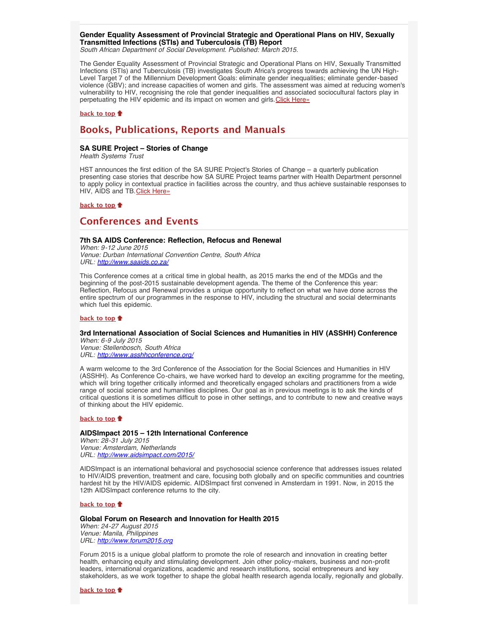### <span id="page-3-0"></span>**Gender Equality Assessment of Provincial Strategic and Operational Plans on HIV, Sexually Transmitted Infections (STIs) and Tuberculosis (TB) Report**

*South African Department of Social Development. Published: March 2015.*

The Gender Equality Assessment of Provincial Strategic and Operational Plans on HIV, Sexually Transmitted Infections (STIs) and Tuberculosis (TB) investigates South Africa's progress towards achieving the UN High-Level Target 7 of the Millennium Development Goals: eliminate gender inequalities; eliminate gender-based violence (GBV); and increase capacities of women and girls. The assessment was aimed at reducing women's vulnerability to HIV, recognising the role that gender inequalities and associated sociocultural factors play in perpetuating the HIV epidemic and its impact on women and girls. [Click Here»](http://www.hst.org.za/publications/gender-equality-assessment-provincial-strategic-and-operational-plans-hiv-sexually-tran)

### **[back to top](#page-0-3)**

# <span id="page-3-1"></span>**Books, Publications, Reports and Manuals**

### <span id="page-3-2"></span>**SA SURE Project – Stories of Change**

*Health Systems Trust*

HST announces the first edition of the SA SURE Project's Stories of Change – a quarterly publication presenting case stories that describe how SA SURE Project teams partner with Health Department personnel to apply policy in contextual practice in facilities across the country, and thus achieve sustainable responses to HIV, AIDS and TB. [Click Here»](http://www.hst.org.za/publications/sa-sure-project-stories-change-january-2015)

**[back to top](#page-0-3)**

# <span id="page-3-3"></span>**Conferences and Events**

<span id="page-3-4"></span>**7th SA AIDS Conference: Reflection, Refocus and Renewal**

*When: 9-12 June 2015 Venue: Durban International Convention Centre, South Africa URL: <http://www.saaids.co.za/>*

This Conference comes at a critical time in global health, as 2015 marks the end of the MDGs and the beginning of the post-2015 sustainable development agenda. The theme of the Conference this year: Reflection, Refocus and Renewal provides a unique opportunity to reflect on what we have done across the entire spectrum of our programmes in the response to HIV, including the structural and social determinants which fuel this epidemic.

### **[back to top](#page-0-3)**

# <span id="page-3-5"></span>**3rd International Association of Social Sciences and Humanities in HIV (ASSHH) Conference**

*When: 6-9 July 2015 Venue: Stellenbosch, South Africa URL: <http://www.asshhconference.org/>*

A warm welcome to the 3rd Conference of the Association for the Social Sciences and Humanities in HIV (ASSHH). As Conference Co-chairs, we have worked hard to develop an exciting programme for the meeting, which will bring together critically informed and theoretically engaged scholars and practitioners from a wide range of social science and humanities disciplines. Our goal as in previous meetings is to ask the kinds of critical questions it is sometimes difficult to pose in other settings, and to contribute to new and creative ways of thinking about the HIV epidemic.

### **[back to top](#page-0-3)**

### <span id="page-3-6"></span>**AIDSImpact 2015 – 12th International Conference**

*When: 28-31 July 2015 Venue: Amsterdam, Netherlands URL: <http://www.aidsimpact.com/2015/>*

AIDSImpact is an international behavioral and psychosocial science conference that addresses issues related to HIV/AIDS prevention, treatment and care, focusing both globally and on specific communities and countries hardest hit by the HIV/AIDS epidemic. AIDSImpact first convened in Amsterdam in 1991. Now, in 2015 the 12th AIDSImpact conference returns to the city.

### **[back to top](#page-0-3)**

### <span id="page-3-7"></span>**Global Forum on Research and Innovation for Health 2015** *When: 24-27 August 2015 Venue: Manila, Philippines URL: [http://www.forum2015.org](http://www.forum2015.org/)*

Forum 2015 is a unique global platform to promote the role of research and innovation in creating better health, enhancing equity and stimulating development. Join other policy-makers, business and non-profit leaders, international organizations, academic and research institutions, social entrepreneurs and key stakeholders, as we work together to shape the global health research agenda locally, regionally and globally.

**[back to top](#page-0-3)**